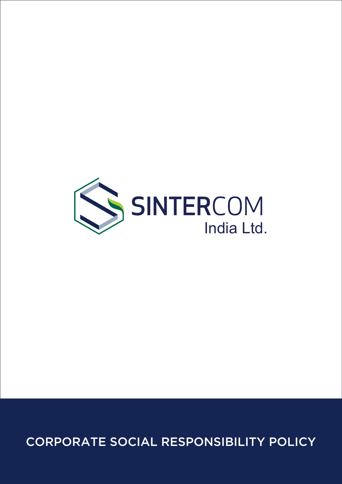

CORPORATE SOCIAL RESPONSIBILITY POLICY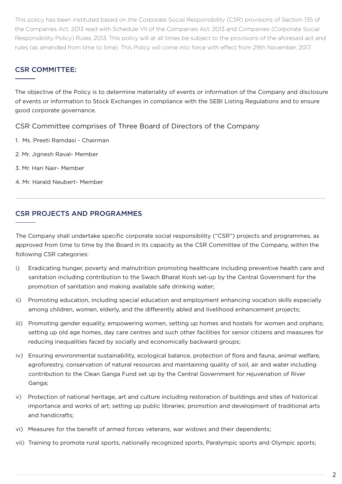This policy has been instituted based on the Corporate Social Responsibility (CSR) provisions of Section 135 of the Companies Act, 2013 read with Schedule VII of the Companies Act, 2013 and Companies (Corporate Social Responsibility Policy) Rules, 2013. This policy will at all times be subject to the provisions of the aforesaid act and rules (as amended from time to time). This Policy will come into force with effect from 29th November, 2017.

### CSR COMMITTEE:

The objective of the Policy is to determine materiality of events or information of the Company and disclosure of events or information to Stock Exchanges in compliance with the SEBI Listing Regulations and to ensure good corporate governance.

CSR Committee comprises of Three Board of Directors of the Company

- 1. Ms. Preeti Ramdasi Chairman
- 2. Mr. Jignesh Raval- Member
- 3. Mr. Hari Nair- Member
- 4. Mr. Harald Neubert- Member

## CSR PROJECTS AND PROGRAMMES

The Company shall undertake specific corporate social responsibility ("CSR") projects and programmes, as approved from time to time by the Board in its capacity as the CSR Committee of the Company, within the following CSR categories:

- i) Eradicating hunger, poverty and malnutrition promoting healthcare including preventive health care and sanitation including contribution to the Swach Bharat Kosh set-up by the Central Government for the promotion of sanitation and making available safe drinking water;
- ii) Promoting education, including special education and employment enhancing vocation skills especially among children, women, elderly, and the differently abled and livelihood enhancement projects;
- iii) Promoting gender equality, empowering women, setting up homes and hostels for women and orphans; setting up old age homes, day care centres and such other facilities for senior citizens and measures for reducing inequalities faced by socially and economically backward groups;
- iv) Ensuring environmental sustainability, ecological balance, protection of flora and fauna, animal welfare, agroforestry, conservation of natural resources and maintaining quality of soil, air and water including contribution to the Clean Ganga Fund set up by the Central Government for rejuvenation of River Ganga;
- v) Protection of national heritage, art and culture including restoration of buildings and sites of historical importance and works of art; setting up public libraries; promotion and development of traditional arts and handicrafts;
- vi) Measures for the benefit of armed forces veterans, war widows and their dependents;
- vii) Training to promote rural sports, nationally recognized sports, Paralympic sports and Olympic sports;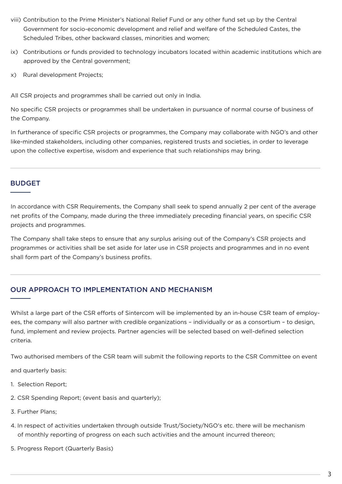- viii) Contribution to the Prime Minister's National Relief Fund or any other fund set up by the Central Government for socio-economic development and relief and welfare of the Scheduled Castes, the Scheduled Tribes, other backward classes, minorities and women;
- ix) Contributions or funds provided to technology incubators located within academic institutions which are approved by the Central government;
- x) Rural development Projects;

All CSR projects and programmes shall be carried out only in India.

No specific CSR projects or programmes shall be undertaken in pursuance of normal course of business of the Company.

In furtherance of specific CSR projects or programmes, the Company may collaborate with NGO's and other like-minded stakeholders, including other companies, registered trusts and societies, in order to leverage upon the collective expertise, wisdom and experience that such relationships may bring.

#### BUDGET

In accordance with CSR Requirements, the Company shall seek to spend annually 2 per cent of the average net profits of the Company, made during the three immediately preceding financial years, on specific CSR projects and programmes.

The Company shall take steps to ensure that any surplus arising out of the Company's CSR projects and programmes or activities shall be set aside for later use in CSR projects and programmes and in no event shall form part of the Company's business profits.

#### OUR APPROACH TO IMPLEMENTATION AND MECHANISM

Whilst a large part of the CSR efforts of Sintercom will be implemented by an in-house CSR team of employees, the company will also partner with credible organizations – individually or as a consortium – to design, fund, implement and review projects. Partner agencies will be selected based on well-defined selection criteria.

Two authorised members of the CSR team will submit the following reports to the CSR Committee on event

and quarterly basis:

- 1. Selection Report;
- 2. CSR Spending Report; (event basis and quarterly);
- 3. Further Plans;
- 4. In respect of activities undertaken through outside Trust/Society/NGO's etc. there will be mechanism of monthly reporting of progress on each such activities and the amount incurred thereon;
- 5. Progress Report (Quarterly Basis)